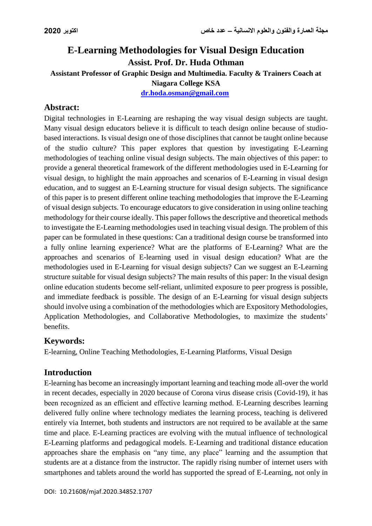# **E-Learning Methodologies for Visual Design Education Assist. Prof. Dr. Huda Othman Assistant Professor of Graphic Design and Multimedia. Faculty & Trainers Coach at Niagara College KSA**

**[dr.hoda.osman@gmail.com](mailto:dr.hoda.osman@gmail.com)**

## **Abstract:**

Digital technologies in E-Learning are reshaping the way visual design subjects are taught. Many visual design educators believe it is difficult to teach design online because of studiobased interactions. Is visual design one of those disciplines that cannot be taught online because of the studio culture? This paper explores that question by investigating E-Learning methodologies of teaching online visual design subjects. The main objectives of this paper: to provide a general theoretical framework of the different methodologies used in E-Learning for visual design, to highlight the main approaches and scenarios of E-Learning in visual design education, and to suggest an E-Learning structure for visual design subjects. The significance of this paper is to present different online teaching methodologies that improve the E-Learning of visual design subjects. To encourage educators to give consideration in using online teaching methodology for their course ideally. This paper follows the descriptive and theoretical methods to investigate the E-Learning methodologies used in teaching visual design. The problem of this paper can be formulated in these questions: Can a traditional design course be transformed into a fully online learning experience? What are the platforms of E-Learning? What are the approaches and scenarios of E-learning used in visual design education? What are the methodologies used in E-Learning for visual design subjects? Can we suggest an E-Learning structure suitable for visual design subjects? The main results of this paper: In the visual design online education students become self-reliant, unlimited exposure to peer progress is possible, and immediate feedback is possible. The design of an E-Learning for visual design subjects should involve using a combination of the methodologies which are Expository Methodologies, Application Methodologies, and Collaborative Methodologies, to maximize the students' benefits.

## **Keywords:**

E-learning, Online Teaching Methodologies, E-Learning Platforms, Visual Design

### **Introduction**

E-learning has become an increasingly important learning and teaching mode all-over the world in recent decades, especially in 2020 because of Corona virus disease crisis (Covid-19), it has been recognized as an efficient and effective learning method. E-Learning describes learning delivered fully online where technology mediates the learning process, teaching is delivered entirely via Internet, both students and instructors are not required to be available at the same time and place. E-Learning practices are evolving with the mutual influence of technological E-Learning platforms and pedagogical models. E-Learning and traditional distance education approaches share the emphasis on "any time, any place" learning and the assumption that students are at a distance from the instructor. The rapidly rising number of internet users with smartphones and tablets around the world has supported the spread of E-Learning, not only in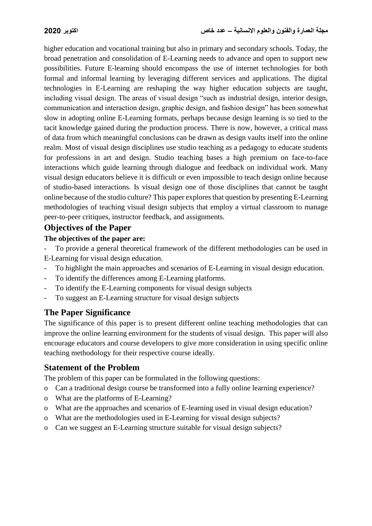higher education and vocational training but also in primary and secondary schools. Today, the broad penetration and consolidation of E-Learning needs to advance and open to support new possibilities. Future E-learning should encompass the use of internet technologies for both formal and informal learning by leveraging different services and applications. The digital technologies in E-Learning are reshaping the way higher education subjects are taught, including visual design. The areas of visual design "such as industrial design, interior design, communication and interaction design, graphic design, and fashion design" has been somewhat slow in adopting online E-Learning formats, perhaps because design learning is so tied to the tacit knowledge gained during the production process. There is now, however, a critical mass of data from which meaningful conclusions can be drawn as design vaults itself into the online realm. Most of visual design disciplines use studio teaching as a pedagogy to educate students for professions in art and design. Studio teaching bases a high premium on face-to-face interactions which guide learning through dialogue and feedback on individual work. Many visual design educators believe it is difficult or even impossible to teach design online because of studio-based interactions. Is visual design one of those disciplines that cannot be taught online because of the studio culture? This paper explores that question by presenting E-Learning methodologies of teaching visual design subjects that employ a virtual classroom to manage peer-to-peer critiques, instructor feedback, and assignments.

## **Objectives of the Paper**

#### **The objectives of the paper are:**

To provide a general theoretical framework of the different methodologies can be used in E-Learning for visual design education.

- To highlight the main approaches and scenarios of E-Learning in visual design education.
- To identify the differences among E-Learning platforms.
- To identify the E-Learning components for visual design subjects
- To suggest an E-Learning structure for visual design subjects

## **The Paper Significance**

The significance of this paper is to present different online teaching methodologies that can improve the online learning environment for the students of visual design. This paper will also encourage educators and course developers to give more consideration in using specific online teaching methodology for their respective course ideally.

## **Statement of the Problem**

The problem of this paper can be formulated in the following questions:

- o Can a traditional design course be transformed into a fully online learning experience?
- o What are the platforms of E-Learning?
- o What are the approaches and scenarios of E-learning used in visual design education?
- o What are the methodologies used in E-Learning for visual design subjects?
- o Can we suggest an E-Learning structure suitable for visual design subjects?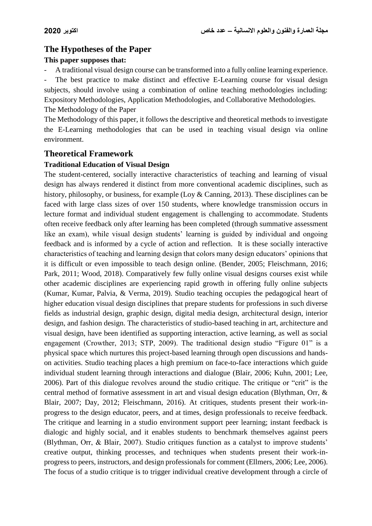## **The Hypotheses of the Paper**

#### **This paper supposes that:**

- A traditional visual design course can be transformed into a fully online learning experience.

The best practice to make distinct and effective E-Learning course for visual design subjects, should involve using a combination of online teaching methodologies including: Expository Methodologies, Application Methodologies, and Collaborative Methodologies. The Methodology of the Paper

The Methodology of this paper, it follows the descriptive and theoretical methods to investigate the E-Learning methodologies that can be used in teaching visual design via online environment.

#### **Theoretical Framework**

#### **Traditional Education of Visual Design**

The student-centered, socially interactive characteristics of teaching and learning of visual design has always rendered it distinct from more conventional academic disciplines, such as history, philosophy, or business, for example (Loy & Canning, 2013). These disciplines can be faced with large class sizes of over 150 students, where knowledge transmission occurs in lecture format and individual student engagement is challenging to accommodate. Students often receive feedback only after learning has been completed (through summative assessment like an exam), while visual design students' learning is guided by individual and ongoing feedback and is informed by a cycle of action and reflection. It is these socially interactive characteristics of teaching and learning design that colors many design educators' opinions that it is difficult or even impossible to teach design online. (Bender, 2005; Fleischmann, 2016; Park, 2011; Wood, 2018). Comparatively few fully online visual designs courses exist while other academic disciplines are experiencing rapid growth in offering fully online subjects (Kumar, Kumar, Palvia, & Verma, 2019). Studio teaching occupies the pedagogical heart of higher education visual design disciplines that prepare students for professions in such diverse fields as industrial design, graphic design, digital media design, architectural design, interior design, and fashion design. The characteristics of studio-based teaching in art, architecture and visual design, have been identified as supporting interaction, active learning, as well as social engagement (Crowther, 2013; STP, 2009). The traditional design studio "Figure 01" is a physical space which nurtures this project-based learning through open discussions and handson activities. Studio teaching places a high premium on face-to-face interactions which guide individual student learning through interactions and dialogue (Blair, 2006; Kuhn, 2001; Lee, 2006). Part of this dialogue revolves around the studio critique. The critique or "crit" is the central method of formative assessment in art and visual design education (Blythman, Orr, & Blair, 2007; Day, 2012; Fleischmann, 2016). At critiques, students present their work-inprogress to the design educator, peers, and at times, design professionals to receive feedback. The critique and learning in a studio environment support peer learning; instant feedback is dialogic and highly social, and it enables students to benchmark themselves against peers (Blythman, Orr, & Blair, 2007). Studio critiques function as a catalyst to improve students' creative output, thinking processes, and techniques when students present their work-inprogress to peers, instructors, and design professionals for comment (Ellmers, 2006; Lee, 2006). The focus of a studio critique is to trigger individual creative development through a circle of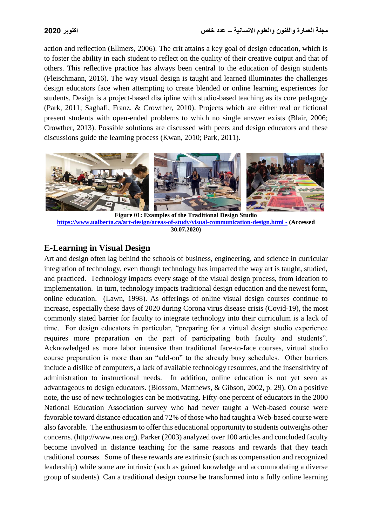action and reflection (Ellmers, 2006). The crit attains a key goal of design education, which is to foster the ability in each student to reflect on the quality of their creative output and that of others. This reflective practice has always been central to the education of design students (Fleischmann, 2016). The way visual design is taught and learned illuminates the challenges design educators face when attempting to create blended or online learning experiences for students. Design is a project-based discipline with studio-based teaching as its core pedagogy (Park, 2011; Saghafi, Franz, & Crowther, 2010). Projects which are either real or fictional present students with open-ended problems to which no single answer exists (Blair, 2006; Crowther, 2013). Possible solutions are discussed with peers and design educators and these discussions guide the learning process (Kwan, 2010; Park, 2011).



**Figure 01: Examples of the Traditional Design Studio [https://www.ualberta.ca/art-design/areas-of-study/visual-communication-design.html -](https://www.ualberta.ca/art-design/areas-of-study/visual-communication-design.html%20-) (Accessed 30.07.2020)**

## **E-Learning in Visual Design**

Art and design often lag behind the schools of business, engineering, and science in curricular integration of technology, even though technology has impacted the way art is taught, studied, and practiced. Technology impacts every stage of the visual design process, from ideation to implementation. In turn, technology impacts traditional design education and the newest form, online education. (Lawn, 1998). As offerings of online visual design courses continue to increase, especially these days of 2020 during Corona virus disease crisis (Covid-19), the most commonly stated barrier for faculty to integrate technology into their curriculum is a lack of time. For design educators in particular, "preparing for a virtual design studio experience requires more preparation on the part of participating both faculty and students". Acknowledged as more labor intensive than traditional face-to-face courses, virtual studio course preparation is more than an "add-on" to the already busy schedules. Other barriers include a dislike of computers, a lack of available technology resources, and the insensitivity of administration to instructional needs. In addition, online education is not yet seen as advantageous to design educators. (Blossom, Matthews, & Gibson, 2002, p. 29). On a positive note, the use of new technologies can be motivating. Fifty-one percent of educators in the 2000 National Education Association survey who had never taught a Web-based course were favorable toward distance education and 72% of those who had taught a Web-based course were also favorable. The enthusiasm to offer this educational opportunity to students outweighs other concerns. (http://www.nea.org). Parker (2003) analyzed over 100 articles and concluded faculty become involved in distance teaching for the same reasons and rewards that they teach traditional courses. Some of these rewards are extrinsic (such as compensation and recognized leadership) while some are intrinsic (such as gained knowledge and accommodating a diverse group of students). Can a traditional design course be transformed into a fully online learning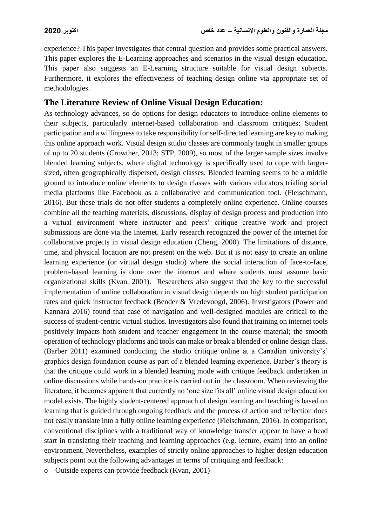experience? This paper investigates that central question and provides some practical answers. This paper explores the E-Learning approaches and scenarios in the visual design education. This paper also suggests an E-Learning structure suitable for visual design subjects. Furthermore, it explores the effectiveness of teaching design online via appropriate set of methodologies.

## **The Literature Review of Online Visual Design Education:**

As technology advances, so do options for design educators to introduce online elements to their subjects, particularly internet-based collaboration and classroom critiques; Student participation and a willingness to take responsibility for self-directed learning are key to making this online approach work. Visual design studio classes are commonly taught in smaller groups of up to 20 students (Crowther, 2013; STP, 2009), so most of the larger sample sizes involve blended learning subjects, where digital technology is specifically used to cope with largersized, often geographically dispersed, design classes. Blended learning seems to be a middle ground to introduce online elements to design classes with various educators trialing social media platforms like Facebook as a collaborative and communication tool. (Fleischmann, 2016). But these trials do not offer students a completely online experience. Online courses combine all the teaching materials, discussions, display of design process and production into a virtual environment where instructor and peers' critique creative work and project submissions are done via the Internet. Early research recognized the power of the internet for collaborative projects in visual design education (Cheng, 2000). The limitations of distance, time, and physical location are not present on the web. But it is not easy to create an online learning experience (or virtual design studio) where the social interaction of face-to-face, problem-based learning is done over the internet and where students must assume basic organizational skills (Kvan, 2001). Researchers also suggest that the key to the successful implementation of online collaboration in visual design depends on high student participation rates and quick instructor feedback (Bender & Vredevoogd, 2006). Investigators (Power and Kannara 2016) found that ease of navigation and well-designed modules are critical to the success of student-centric virtual studios. Investigators also found that training on internet tools positively impacts both student and teacher engagement in the course material; the smooth operation of technology platforms and tools can make or break a blended or online design class. (Barber 2011) examined conducting the studio critique online at a Canadian university's' graphics design foundation course as part of a blended learning experience. Barber's theory is that the critique could work in a blended learning mode with critique feedback undertaken in online discussions while hands-on practice is carried out in the classroom. When reviewing the literature, it becomes apparent that currently no 'one size fits all' online visual design education model exists. The highly student-centered approach of design learning and teaching is based on learning that is guided through ongoing feedback and the process of action and reflection does not easily translate into a fully online learning experience (Fleischmann, 2016). In comparison, conventional disciplines with a traditional way of knowledge transfer appear to have a head start in translating their teaching and learning approaches (e.g. lecture, exam) into an online environment. Nevertheless, examples of strictly online approaches to higher design education subjects point out the following advantages in terms of critiquing and feedback:

o Outside experts can provide feedback (Kvan, 2001)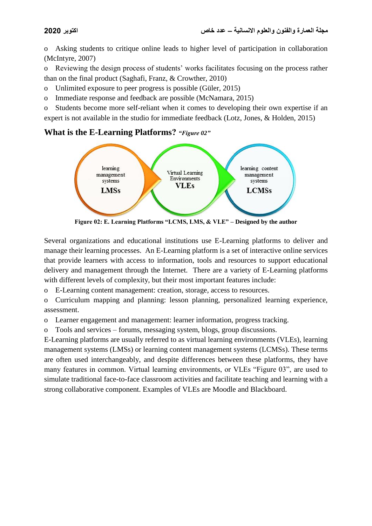o Asking students to critique online leads to higher level of participation in collaboration (McIntyre, 2007)

o Reviewing the design process of students' works facilitates focusing on the process rather than on the final product (Saghafi, Franz, & Crowther, 2010)

o Unlimited exposure to peer progress is possible (Güler, 2015)

o Immediate response and feedback are possible (McNamara, 2015)

o Students become more self-reliant when it comes to developing their own expertise if an expert is not available in the studio for immediate feedback (Lotz, Jones, & Holden, 2015)

## **What is the E-Learning Platforms?** *"Figure 02"*



**Figure 02: E. Learning Platforms "LCMS, LMS, & VLE" – Designed by the author**

Several organizations and educational institutions use E-Learning platforms to deliver and manage their learning processes. An E-Learning platform is a set of interactive online services that provide learners with access to information, tools and resources to support educational delivery and management through the Internet. There are a variety of E-Learning platforms with different levels of complexity, but their most important features include:

o E-Learning content management: creation, storage, access to resources.

o Curriculum mapping and planning: lesson planning, personalized learning experience, assessment.

o Learner engagement and management: learner information, progress tracking.

o Tools and services – forums, messaging system, blogs, group discussions.

E-Learning platforms are usually referred to as virtual learning environments (VLEs), learning management systems (LMSs) or learning content management systems (LCMSs). These terms are often used interchangeably, and despite differences between these platforms, they have many features in common. Virtual learning environments, or VLEs "Figure 03", are used to simulate traditional face-to-face classroom activities and facilitate teaching and learning with a strong collaborative component. Examples of VLEs are Moodle and Blackboard.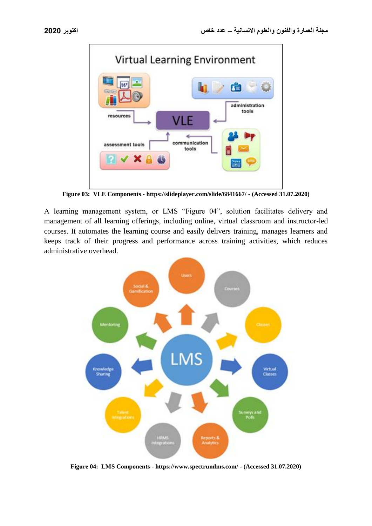

**Figure 03: VLE Components - https://slideplayer.com/slide/6841667/ - (Accessed 31.07.2020)**

A learning management system, or LMS "Figure 04", solution facilitates delivery and management of all learning offerings, including online, virtual classroom and instructor-led courses. It automates the learning course and easily delivers training, manages learners and keeps track of their progress and performance across training activities, which reduces administrative overhead.



**Figure 04: LMS Components - https://www.spectrumlms.com/ - (Accessed 31.07.2020)**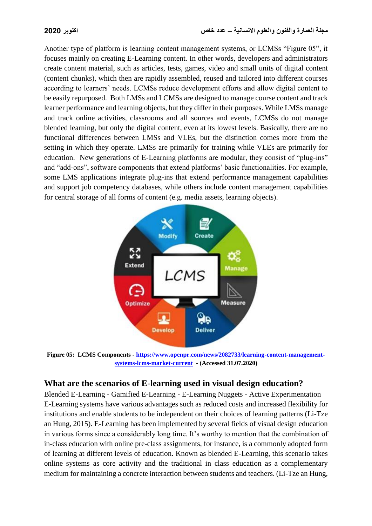Another type of platform is learning content management systems, or LCMSs "Figure 05", it focuses mainly on creating E-Learning content. In other words, developers and administrators create content material, such as articles, tests, games, video and small units of digital content (content chunks), which then are rapidly assembled, reused and tailored into different courses according to learners' needs. LCMSs reduce development efforts and allow digital content to be easily repurposed. Both LMSs and LCMSs are designed to manage course content and track learner performance and learning objects, but they differ in their purposes. While LMSs manage and track online activities, classrooms and all sources and events, LCMSs do not manage blended learning, but only the digital content, even at its lowest levels. Basically, there are no functional differences between LMSs and VLEs, but the distinction comes more from the setting in which they operate. LMSs are primarily for training while VLEs are primarily for education. New generations of E-Learning platforms are modular, they consist of "plug-ins" and "add-ons", software components that extend platforms' basic functionalities. For example, some LMS applications integrate plug-ins that extend performance management capabilities and support job competency databases, while others include content management capabilities for central storage of all forms of content (e.g. media assets, learning objects).



**Figure 05: LCMS Components - [https://www.openpr.com/news/2082733/learning-content-management](https://www.openpr.com/news/2082733/learning-content-management-systems-lcms-market-current)[systems-lcms-market-current](https://www.openpr.com/news/2082733/learning-content-management-systems-lcms-market-current) - (Accessed 31.07.2020)**

## **What are the scenarios of E-learning used in visual design education?**

Blended E-Learning - Gamified E-Learning - E-Learning Nuggets - Active Experimentation E-Learning systems have various advantages such as reduced costs and increased flexibility for institutions and enable students to be independent on their choices of learning patterns (Li-Tze an Hung, 2015). E-Learning has been implemented by several fields of visual design education in various forms since a considerably long time. It's worthy to mention that the combination of in-class education with online pre-class assignments, for instance, is a commonly adopted form of learning at different levels of education. Known as blended E-Learning, this scenario takes online systems as core activity and the traditional in class education as a complementary medium for maintaining a concrete interaction between students and teachers. (Li-Tze an Hung,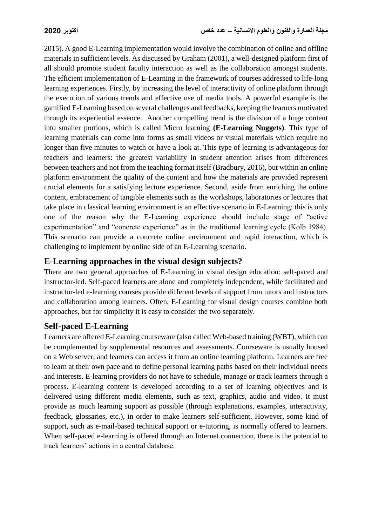2015). A good E-Learning implementation would involve the combination of online and offline materials in sufficient levels. As discussed by Graham (2001), a well-designed platform first of all should promote student faculty interaction as well as the collaboration amongst students. The efficient implementation of E-Learning in the framework of courses addressed to life-long learning experiences. Firstly, by increasing the level of interactivity of online platform through the execution of various trends and effective use of media tools. A powerful example is the gamified E-Learning based on several challenges and feedbacks, keeping the learners motivated through its experiential essence. Another compelling trend is the division of a huge content into smaller portions, which is called Micro learning **(E-Learning Nuggets)**. This type of learning materials can come into forms as small videos or visual materials which require no longer than five minutes to watch or have a look at. This type of learning is advantageous for teachers and learners: the greatest variability in student attention arises from differences between teachers and not from the teaching format itself (Bradbury, 2016), but within an online platform environment the quality of the content and how the materials are provided represent crucial elements for a satisfying lecture experience. Second, aside from enriching the online content, embracement of tangible elements such as the workshops, laboratories or lectures that take place in classical learning environment is an effective scenario in E-Learning: this is only one of the reason why the E-Learning experience should include stage of "active experimentation" and "concrete experience" as in the traditional learning cycle (Kolb 1984). This scenario can provide a concrete online environment and rapid interaction, which is challenging to implement by online side of an E-Learning scenario.

## **E-Learning approaches in the visual design subjects?**

There are two general approaches of E-Learning in visual design education: self-paced and instructor-led. Self-paced learners are alone and completely independent, while facilitated and instructor-led e-learning courses provide different levels of support from tutors and instructors and collaboration among learners. Often, E-Learning for visual design courses combine both approaches, but for simplicity it is easy to consider the two separately.

## **Self-paced E-Learning**

Learners are offered E-Learning courseware (also called Web-based training (WBT), which can be complemented by supplemental resources and assessments. Courseware is usually housed on a Web server, and learners can access it from an online learning platform. Learners are free to learn at their own pace and to define personal learning paths based on their individual needs and interests. E-learning providers do not have to schedule, manage or track learners through a process. E-learning content is developed according to a set of learning objectives and is delivered using different media elements, such as text, graphics, audio and video. It must provide as much learning support as possible (through explanations, examples, interactivity, feedback, glossaries, etc.), in order to make learners self-sufficient. However, some kind of support, such as e-mail-based technical support or e-tutoring, is normally offered to learners. When self-paced e-learning is offered through an Internet connection, there is the potential to track learners' actions in a central database.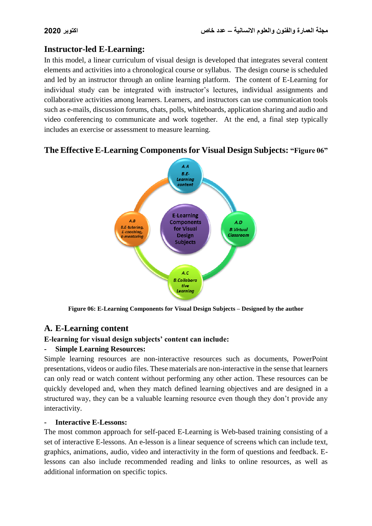## **Instructor-led E-Learning:**

In this model, a linear curriculum of visual design is developed that integrates several content elements and activities into a chronological course or syllabus. The design course is scheduled and led by an instructor through an online learning platform. The content of E-Learning for individual study can be integrated with instructor's lectures, individual assignments and collaborative activities among learners. Learners, and instructors can use communication tools such as e-mails, discussion forums, chats, polls, whiteboards, application sharing and audio and video conferencing to communicate and work together. At the end, a final step typically includes an exercise or assessment to measure learning.

#### $A.A$  $BE$ Learning content **E-Learning**  $A.B$ **Components** A.D **B.E-tutoring,** for Visual **B.Virtual** E-coachina Classroom **Design** -mentoring **Subjects** A.C **B.Collabora** tive Learning

## **The Effective E-Learning Components for Visual Design Subjects: "Figure 06"**

**Figure 06: E-Learning Components for Visual Design Subjects – Designed by the author**

## **A. E-Learning content**

### **E-learning for visual design subjects' content can include:**

### **- Simple Learning Resources:**

Simple learning resources are non-interactive resources such as documents, PowerPoint presentations, videos or audio files. These materials are non-interactive in the sense that learners can only read or watch content without performing any other action. These resources can be quickly developed and, when they match defined learning objectives and are designed in a structured way, they can be a valuable learning resource even though they don't provide any interactivity.

#### **- Interactive E-Lessons:**

The most common approach for self-paced E-Learning is Web-based training consisting of a set of interactive E-lessons. An e-lesson is a linear sequence of screens which can include text, graphics, animations, audio, video and interactivity in the form of questions and feedback. Elessons can also include recommended reading and links to online resources, as well as additional information on specific topics.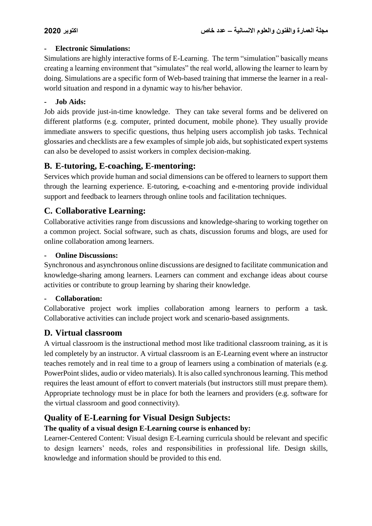#### **- Electronic Simulations:**

Simulations are highly interactive forms of E-Learning. The term "simulation" basically means creating a learning environment that "simulates" the real world, allowing the learner to learn by doing. Simulations are a specific form of Web-based training that immerse the learner in a realworld situation and respond in a dynamic way to his/her behavior.

#### **- Job Aids:**

Job aids provide just-in-time knowledge. They can take several forms and be delivered on different platforms (e.g. computer, printed document, mobile phone). They usually provide immediate answers to specific questions, thus helping users accomplish job tasks. Technical glossaries and checklists are a few examples of simple job aids, but sophisticated expert systems can also be developed to assist workers in complex decision-making.

## **B. E-tutoring, E-coaching, E-mentoring:**

Services which provide human and social dimensions can be offered to learners to support them through the learning experience. E-tutoring, e-coaching and e-mentoring provide individual support and feedback to learners through online tools and facilitation techniques.

## **C. Collaborative Learning:**

Collaborative activities range from discussions and knowledge-sharing to working together on a common project. Social software, such as chats, discussion forums and blogs, are used for online collaboration among learners.

#### **- Online Discussions:**

Synchronous and asynchronous online discussions are designed to facilitate communication and knowledge-sharing among learners. Learners can comment and exchange ideas about course activities or contribute to group learning by sharing their knowledge.

#### **- Collaboration:**

Collaborative project work implies collaboration among learners to perform a task. Collaborative activities can include project work and scenario-based assignments.

## **D. Virtual classroom**

A virtual classroom is the instructional method most like traditional classroom training, as it is led completely by an instructor. A virtual classroom is an E-Learning event where an instructor teaches remotely and in real time to a group of learners using a combination of materials (e.g. PowerPoint slides, audio or video materials). It is also called synchronous learning. This method requires the least amount of effort to convert materials (but instructors still must prepare them). Appropriate technology must be in place for both the learners and providers (e.g. software for the virtual classroom and good connectivity).

## **Quality of E-Learning for Visual Design Subjects:**

### **The quality of a visual design E-Learning course is enhanced by:**

Learner-Centered Content: Visual design E-Learning curricula should be relevant and specific to design learners' needs, roles and responsibilities in professional life. Design skills, knowledge and information should be provided to this end.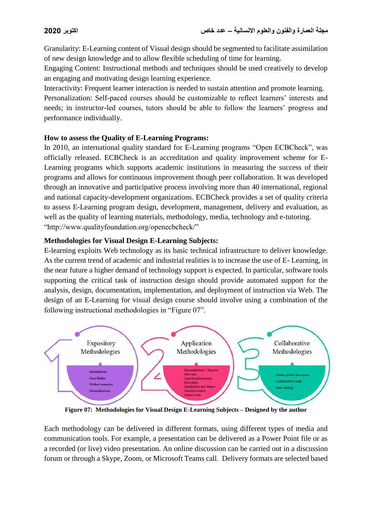Granularity: E-Learning content of Visual design should be segmented to facilitate assimilation of new design knowledge and to allow flexible scheduling of time for learning.

Engaging Content: Instructional methods and techniques should be used creatively to develop an engaging and motivating design learning experience.

Interactivity: Frequent learner interaction is needed to sustain attention and promote learning.

Personalization: Self-paced courses should be customizable to reflect learners' interests and needs; in instructor-led courses, tutors should be able to follow the learners' progress and performance individually.

#### **How to assess the Quality of E-Learning Programs:**

In 2010, an international quality standard for E-Learning programs "Open ECBCheck", was officially released. ECBCheck is an accreditation and quality improvement scheme for E-Learning programs which supports academic institutions in measuring the success of their programs and allows for continuous improvement though peer collaboration. It was developed through an innovative and participative process involving more than 40 international, regional and national capacity-development organizations. ECBCheck provides a set of quality criteria to assess E-Learning program design, development, management, delivery and evaluation, as well as the quality of learning materials, methodology, media, technology and e-tutoring. "http://www.qualityfoundation.org/openecbcheck/"

#### **Methodologies for Visual Design E-Learning Subjects:**

E-learning exploits Web technology as its basic technical infrastructure to deliver knowledge. As the current trend of academic and industrial realities is to increase the use of E- Learning, in the near future a higher demand of technology support is expected. In particular, software tools supporting the critical task of instruction design should provide automated support for the analysis, design, documentation, implementation, and deployment of instruction via Web. The design of an E-Learning for visual design course should involve using a combination of the following instructional methodologies in "Figure 07".



**Figure 07: Methodologies for Visual Design E-Learning Subjects – Designed by the author**

Each methodology can be delivered in different formats, using different types of media and communication tools. For example, a presentation can be delivered as a Power Point file or as a recorded (or live) video presentation. An online discussion can be carried out in a discussion forum or through a Skype, Zoom, or Microsoft Teams call. Delivery formats are selected based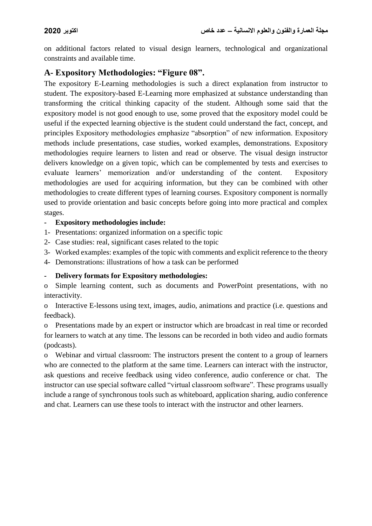on additional factors related to visual design learners, technological and organizational constraints and available time.

## **A- Expository Methodologies: "Figure 08".**

The expository E-Learning methodologies is such a direct explanation from instructor to student. The expository-based E-Learning more emphasized at substance understanding than transforming the critical thinking capacity of the student. Although some said that the expository model is not good enough to use, some proved that the expository model could be useful if the expected learning objective is the student could understand the fact, concept, and principles Expository methodologies emphasize "absorption" of new information. Expository methods include presentations, case studies, worked examples, demonstrations. Expository methodologies require learners to listen and read or observe. The visual design instructor delivers knowledge on a given topic, which can be complemented by tests and exercises to evaluate learners' memorization and/or understanding of the content. Expository methodologies are used for acquiring information, but they can be combined with other methodologies to create different types of learning courses. Expository component is normally used to provide orientation and basic concepts before going into more practical and complex stages.

#### **- Expository methodologies include:**

1- Presentations: organized information on a specific topic

2- Case studies: real, significant cases related to the topic

3- Worked examples: examples of the topic with comments and explicit reference to the theory

4- Demonstrations: illustrations of how a task can be performed

#### **- Delivery formats for Expository methodologies:**

o Simple learning content, such as documents and PowerPoint presentations, with no interactivity.

o Interactive E-lessons using text, images, audio, animations and practice (i.e. questions and feedback).

o Presentations made by an expert or instructor which are broadcast in real time or recorded for learners to watch at any time. The lessons can be recorded in both video and audio formats (podcasts).

o Webinar and virtual classroom: The instructors present the content to a group of learners who are connected to the platform at the same time. Learners can interact with the instructor, ask questions and receive feedback using video conference, audio conference or chat. The instructor can use special software called "virtual classroom software". These programs usually include a range of synchronous tools such as whiteboard, application sharing, audio conference and chat. Learners can use these tools to interact with the instructor and other learners.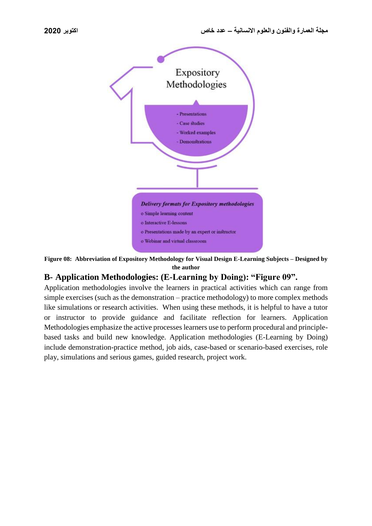

**Figure 08: Abbreviation of Expository Methodology for Visual Design E-Learning Subjects – Designed by the author**

## **B- Application Methodologies: (E-Learning by Doing): "Figure 09".**

Application methodologies involve the learners in practical activities which can range from simple exercises (such as the demonstration – practice methodology) to more complex methods like simulations or research activities. When using these methods, it is helpful to have a tutor or instructor to provide guidance and facilitate reflection for learners. Application Methodologies emphasize the active processes learners use to perform procedural and principlebased tasks and build new knowledge. Application methodologies (E-Learning by Doing) include demonstration-practice method, job aids, case-based or scenario-based exercises, role play, simulations and serious games, guided research, project work.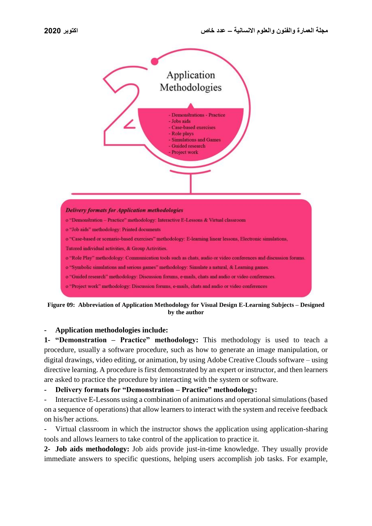

**Figure 09: Abbreviation of Application Methodology for Visual Design E-Learning Subjects – Designed by the author**

#### **- Application methodologies include:**

**1- "Demonstration – Practice" methodology:** This methodology is used to teach a procedure, usually a software procedure, such as how to generate an image manipulation, or digital drawings, video editing, or animation, by using Adobe Creative Clouds software – using directive learning. A procedure is first demonstrated by an expert or instructor, and then learners are asked to practice the procedure by interacting with the system or software.

**- Delivery formats for "Demonstration – Practice" methodology:** 

Interactive E-Lessons using a combination of animations and operational simulations (based on a sequence of operations) that allow learners to interact with the system and receive feedback on his/her actions.

Virtual classroom in which the instructor shows the application using application-sharing tools and allows learners to take control of the application to practice it.

**2- Job aids methodology:** Job aids provide just-in-time knowledge. They usually provide immediate answers to specific questions, helping users accomplish job tasks. For example,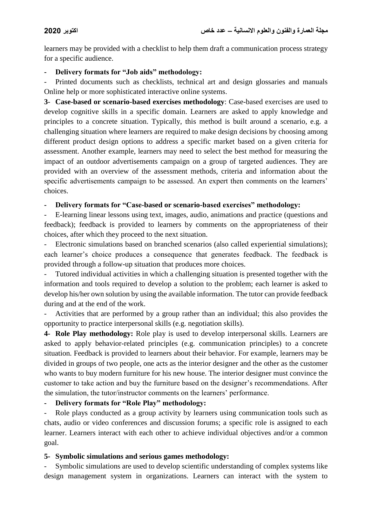learners may be provided with a checklist to help them draft a communication process strategy for a specific audience.

**- Delivery formats for "Job aids" methodology:** 

Printed documents such as checklists, technical art and design glossaries and manuals Online help or more sophisticated interactive online systems.

**3**- **Case-based or scenario-based exercises methodology**: Case-based exercises are used to develop cognitive skills in a specific domain. Learners are asked to apply knowledge and principles to a concrete situation. Typically, this method is built around a scenario, e.g. a challenging situation where learners are required to make design decisions by choosing among different product design options to address a specific market based on a given criteria for assessment. Another example, learners may need to select the best method for measuring the impact of an outdoor advertisements campaign on a group of targeted audiences. They are provided with an overview of the assessment methods, criteria and information about the specific advertisements campaign to be assessed. An expert then comments on the learners' choices.

**- Delivery formats for "Case-based or scenario-based exercises" methodology:** 

- E-learning linear lessons using text, images, audio, animations and practice (questions and feedback); feedback is provided to learners by comments on the appropriateness of their choices, after which they proceed to the next situation.

- Electronic simulations based on branched scenarios (also called experiential simulations); each learner's choice produces a consequence that generates feedback. The feedback is provided through a follow-up situation that produces more choices.

- Tutored individual activities in which a challenging situation is presented together with the information and tools required to develop a solution to the problem; each learner is asked to develop his/her own solution by using the available information. The tutor can provide feedback during and at the end of the work.

- Activities that are performed by a group rather than an individual; this also provides the opportunity to practice interpersonal skills (e.g. negotiation skills).

**4- Role Play methodology:** Role play is used to develop interpersonal skills. Learners are asked to apply behavior-related principles (e.g. communication principles) to a concrete situation. Feedback is provided to learners about their behavior. For example, learners may be divided in groups of two people, one acts as the interior designer and the other as the customer who wants to buy modern furniture for his new house. The interior designer must convince the customer to take action and buy the furniture based on the designer's recommendations. After the simulation, the tutor/instructor comments on the learners' performance.

### **- Delivery formats for "Role Play" methodology:**

Role plays conducted as a group activity by learners using communication tools such as chats, audio or video conferences and discussion forums; a specific role is assigned to each learner. Learners interact with each other to achieve individual objectives and/or a common goal.

### **5- Symbolic simulations and serious games methodology:**

Symbolic simulations are used to develop scientific understanding of complex systems like design management system in organizations. Learners can interact with the system to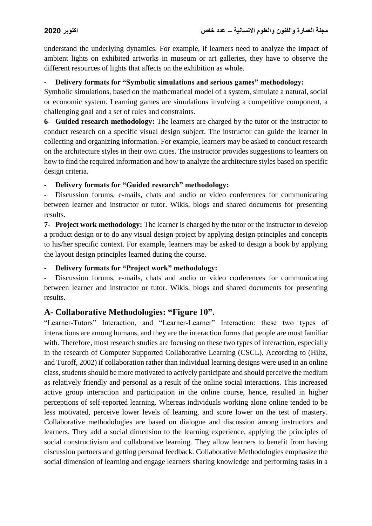understand the underlying dynamics. For example, if learners need to analyze the impact of ambient lights on exhibited artworks in museum or art galleries, they have to observe the different resources of lights that affects on the exhibition as whole.

### **- Delivery formats for "Symbolic simulations and serious games" methodology:**

Symbolic simulations, based on the mathematical model of a system, simulate a natural, social or economic system. Learning games are simulations involving a competitive component, a challenging goal and a set of rules and constraints.

**6- Guided research methodology:** The learners are charged by the tutor or the instructor to conduct research on a specific visual design subject. The instructor can guide the learner in collecting and organizing information. For example, learners may be asked to conduct research on the architecture styles in their own cities. The instructor provides suggestions to learners on how to find the required information and how to analyze the architecture styles based on specific design criteria.

**- Delivery formats for "Guided research" methodology:**

Discussion forums, e-mails, chats and audio or video conferences for communicating between learner and instructor or tutor. Wikis, blogs and shared documents for presenting results.

**7- Project work methodology:** The learner is charged by the tutor or the instructor to develop a product design or to do any visual design project by applying design principles and concepts to his/her specific context. For example, learners may be asked to design a book by applying the layout design principles learned during the course.

**- Delivery formats for "Project work" methodology:**

- Discussion forums, e-mails, chats and audio or video conferences for communicating between learner and instructor or tutor. Wikis, blogs and shared documents for presenting results.

## **A- Collaborative Methodologies: "Figure 10".**

"Learner-Tutors" Interaction, and "Learner-Learner" Interaction: these two types of interactions are among humans, and they are the interaction forms that people are most familiar with. Therefore, most research studies are focusing on these two types of interaction, especially in the research of Computer Supported Collaborative Learning (CSCL). According to (Hiltz, and Turoff, 2002) if collaboration rather than individual learning designs were used in an online class, students should be more motivated to actively participate and should perceive the medium as relatively friendly and personal as a result of the online social interactions. This increased active group interaction and participation in the online course, hence, resulted in higher perceptions of self-reported learning. Whereas individuals working alone online tended to be less motivated, perceive lower levels of learning, and score lower on the test of mastery. Collaborative methodologies are based on dialogue and discussion among instructors and learners. They add a social dimension to the learning experience, applying the principles of social constructivism and collaborative learning. They allow learners to benefit from having discussion partners and getting personal feedback. Collaborative Methodologies emphasize the social dimension of learning and engage learners sharing knowledge and performing tasks in a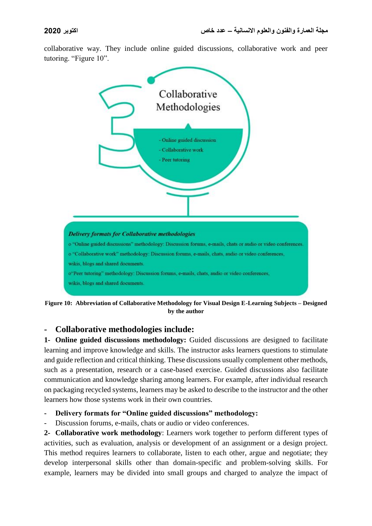collaborative way. They include online guided discussions, collaborative work and peer tutoring. "Figure 10".



**Figure 10: Abbreviation of Collaborative Methodology for Visual Design E-Learning Subjects – Designed by the author**

## **- Collaborative methodologies include:**

**1- Online guided discussions methodology:** Guided discussions are designed to facilitate learning and improve knowledge and skills. The instructor asks learners questions to stimulate and guide reflection and critical thinking. These discussions usually complement other methods, such as a presentation, research or a case-based exercise. Guided discussions also facilitate communication and knowledge sharing among learners. For example, after individual research on packaging recycled systems, learners may be asked to describe to the instructor and the other learners how those systems work in their own countries.

#### **- Delivery formats for "Online guided discussions" methodology:**

Discussion forums, e-mails, chats or audio or video conferences.

**2- Collaborative work methodology**: Learners work together to perform different types of activities, such as evaluation, analysis or development of an assignment or a design project. This method requires learners to collaborate, listen to each other, argue and negotiate; they develop interpersonal skills other than domain-specific and problem-solving skills. For example, learners may be divided into small groups and charged to analyze the impact of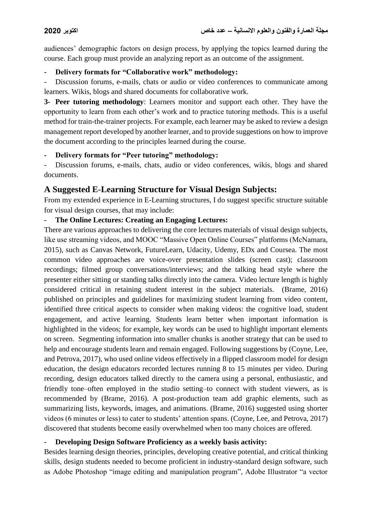audiences' demographic factors on design process, by applying the topics learned during the course. Each group must provide an analyzing report as an outcome of the assignment.

### **- Delivery formats for "Collaborative work" methodology:**

Discussion forums, e-mails, chats or audio or video conferences to communicate among learners. Wikis, blogs and shared documents for collaborative work.

**3- Peer tutoring methodology**: Learners monitor and support each other. They have the opportunity to learn from each other's work and to practice tutoring methods. This is a useful method for train-the-trainer projects. For example, each learner may be asked to review a design management report developed by another learner, and to provide suggestions on how to improve the document according to the principles learned during the course.

## **- Delivery formats for "Peer tutoring" methodology:**

Discussion forums, e-mails, chats, audio or video conferences, wikis, blogs and shared documents.

## **A Suggested E-Learning Structure for Visual Design Subjects:**

From my extended experience in E-Learning structures, I do suggest specific structure suitable for visual design courses, that may include:

## **- The Online Lectures: Creating an Engaging Lectures:**

There are various approaches to delivering the core lectures materials of visual design subjects, like use streaming videos, and MOOC "Massive Open Online Courses" platforms (McNamara, 2015), such as Canvas Network, FutureLearn, Udacity, Udemy, EDx and Coursea. The most common video approaches are voice-over presentation slides (screen cast); classroom recordings; filmed group conversations/interviews; and the talking head style where the presenter either sitting or standing talks directly into the camera. Video lecture length is highly considered critical in retaining student interest in the subject materials. (Brame, 2016) published on principles and guidelines for maximizing student learning from video content, identified three critical aspects to consider when making videos: the cognitive load, student engagement, and active learning. Students learn better when important information is highlighted in the videos; for example, key words can be used to highlight important elements on screen. Segmenting information into smaller chunks is another strategy that can be used to help and encourage students learn and remain engaged. Following suggestions by (Coyne, Lee, and Petrova, 2017), who used online videos effectively in a flipped classroom model for design education, the design educators recorded lectures running 8 to 15 minutes per video. During recording, design educators talked directly to the camera using a personal, enthusiastic, and friendly tone–often employed in the studio setting–to connect with student viewers, as is recommended by (Brame, 2016). A post-production team add graphic elements, such as summarizing lists, keywords, images, and animations. (Brame, 2016) suggested using shorter videos (6 minutes or less) to cater to students' attention spans. (Coyne, Lee, and Petrova, 2017) discovered that students become easily overwhelmed when too many choices are offered.

## **- Developing Design Software Proficiency as a weekly basis activity:**

Besides learning design theories, principles, developing creative potential, and critical thinking skills, design students needed to become proficient in industry-standard design software, such as Adobe Photoshop "image editing and manipulation program", Adobe Illustrator "a vector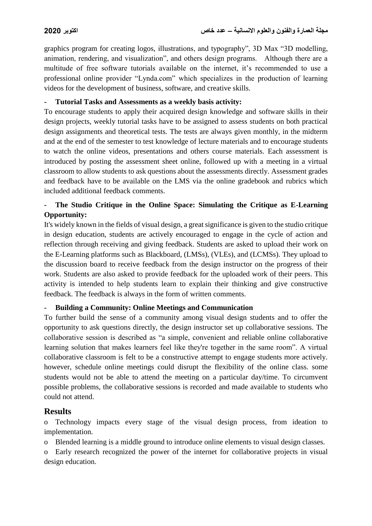graphics program for creating logos, illustrations, and typography", 3D Max "3D modelling, animation, rendering, and visualization", and others design programs. Although there are a multitude of free software tutorials available on the internet, it's recommended to use a professional online provider "Lynda.com" which specializes in the production of learning videos for the development of business, software, and creative skills.

#### **- Tutorial Tasks and Assessments as a weekly basis activity:**

To encourage students to apply their acquired design knowledge and software skills in their design projects, weekly tutorial tasks have to be assigned to assess students on both practical design assignments and theoretical tests. The tests are always given monthly, in the midterm and at the end of the semester to test knowledge of lecture materials and to encourage students to watch the online videos, presentations and others course materials. Each assessment is introduced by posting the assessment sheet online, followed up with a meeting in a virtual classroom to allow students to ask questions about the assessments directly. Assessment grades and feedback have to be available on the LMS via the online gradebook and rubrics which included additional feedback comments.

## **- The Studio Critique in the Online Space: Simulating the Critique as E-Learning Opportunity:**

It's widely known in the fields of visual design, a great significance is given to the studio critique in design education, students are actively encouraged to engage in the cycle of action and reflection through receiving and giving feedback. Students are asked to upload their work on the E-Learning platforms such as Blackboard, (LMSs), (VLEs), and (LCMSs). They upload to the discussion board to receive feedback from the design instructor on the progress of their work. Students are also asked to provide feedback for the uploaded work of their peers. This activity is intended to help students learn to explain their thinking and give constructive feedback. The feedback is always in the form of written comments.

#### **- Building a Community: Online Meetings and Communication**

To further build the sense of a community among visual design students and to offer the opportunity to ask questions directly, the design instructor set up collaborative sessions. The collaborative session is described as "a simple, convenient and reliable online collaborative learning solution that makes learners feel like they're together in the same room". A virtual collaborative classroom is felt to be a constructive attempt to engage students more actively. however, schedule online meetings could disrupt the flexibility of the online class. some students would not be able to attend the meeting on a particular day/time. To circumvent possible problems, the collaborative sessions is recorded and made available to students who could not attend.

### **Results**

Technology impacts every stage of the visual design process, from ideation to implementation.

o Blended learning is a middle ground to introduce online elements to visual design classes.

o Early research recognized the power of the internet for collaborative projects in visual design education.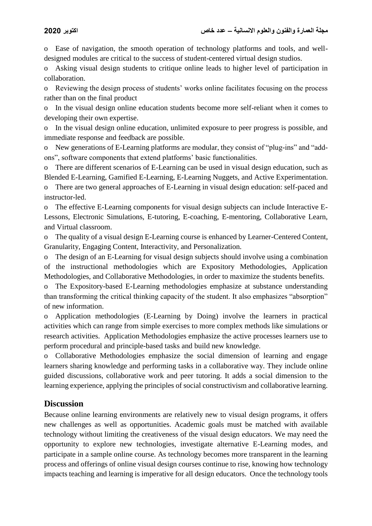o Ease of navigation, the smooth operation of technology platforms and tools, and welldesigned modules are critical to the success of student-centered virtual design studios.

o Asking visual design students to critique online leads to higher level of participation in collaboration.

o Reviewing the design process of students' works online facilitates focusing on the process rather than on the final product

o In the visual design online education students become more self-reliant when it comes to developing their own expertise.

In the visual design online education, unlimited exposure to peer progress is possible, and immediate response and feedback are possible.

o New generations of E-Learning platforms are modular, they consist of "plug-ins" and "addons", software components that extend platforms' basic functionalities.

o There are different scenarios of E-Learning can be used in visual design education, such as Blended E-Learning, Gamified E-Learning, E-Learning Nuggets, and Active Experimentation.

o There are two general approaches of E-Learning in visual design education: self-paced and instructor-led.

o The effective E-Learning components for visual design subjects can include Interactive E-Lessons, Electronic Simulations, E-tutoring, E-coaching, E-mentoring, Collaborative Learn, and Virtual classroom.

o The quality of a visual design E-Learning course is enhanced by Learner-Centered Content, Granularity, Engaging Content, Interactivity, and Personalization.

o The design of an E-Learning for visual design subjects should involve using a combination of the instructional methodologies which are Expository Methodologies, Application Methodologies, and Collaborative Methodologies, in order to maximize the students benefits.

o The Expository-based E-Learning methodologies emphasize at substance understanding than transforming the critical thinking capacity of the student. It also emphasizes "absorption" of new information.

o Application methodologies (E-Learning by Doing) involve the learners in practical activities which can range from simple exercises to more complex methods like simulations or research activities. Application Methodologies emphasize the active processes learners use to perform procedural and principle-based tasks and build new knowledge.

o Collaborative Methodologies emphasize the social dimension of learning and engage learners sharing knowledge and performing tasks in a collaborative way. They include online guided discussions, collaborative work and peer tutoring. It adds a social dimension to the learning experience, applying the principles of social constructivism and collaborative learning.

## **Discussion**

Because online learning environments are relatively new to visual design programs, it offers new challenges as well as opportunities. Academic goals must be matched with available technology without limiting the creativeness of the visual design educators. We may need the opportunity to explore new technologies, investigate alternative E-Learning modes, and participate in a sample online course. As technology becomes more transparent in the learning process and offerings of online visual design courses continue to rise, knowing how technology impacts teaching and learning is imperative for all design educators. Once the technology tools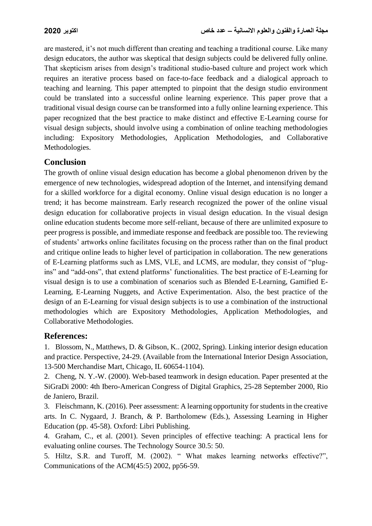are mastered, it's not much different than creating and teaching a traditional course. Like many design educators, the author was skeptical that design subjects could be delivered fully online. That skepticism arises from design's traditional studio-based culture and project work which requires an iterative process based on face-to-face feedback and a dialogical approach to teaching and learning. This paper attempted to pinpoint that the design studio environment could be translated into a successful online learning experience. This paper prove that a traditional visual design course can be transformed into a fully online learning experience. This paper recognized that the best practice to make distinct and effective E-Learning course for visual design subjects, should involve using a combination of online teaching methodologies including: Expository Methodologies, Application Methodologies, and Collaborative Methodologies.

## **Conclusion**

The growth of online visual design education has become a global phenomenon driven by the emergence of new technologies, widespread adoption of the Internet, and intensifying demand for a skilled workforce for a digital economy. Online visual design education is no longer a trend; it has become mainstream. Early research recognized the power of the online visual design education for collaborative projects in visual design education. In the visual design online education students become more self-reliant, because of there are unlimited exposure to peer progress is possible, and immediate response and feedback are possible too. The reviewing of students' artworks online facilitates focusing on the process rather than on the final product and critique online leads to higher level of participation in collaboration. The new generations of E-Learning platforms such as LMS, VLE, and LCMS, are modular, they consist of "plugins" and "add-ons", that extend platforms' functionalities. The best practice of E-Learning for visual design is to use a combination of scenarios such as Blended E-Learning, Gamified E-Learning, E-Learning Nuggets, and Active Experimentation. Also, the best practice of the design of an E-Learning for visual design subjects is to use a combination of the instructional methodologies which are Expository Methodologies, Application Methodologies, and Collaborative Methodologies.

## **References:**

1. Blossom, N., Matthews, D. & Gibson, K.. (2002, Spring). Linking interior design education and practice. Perspective, 24-29. (Available from the International Interior Design Association, 13-500 Merchandise Mart, Chicago, IL 60654-1104).

2. Cheng, N. Y.-W. (2000). Web-based teamwork in design education. Paper presented at the SiGraDi 2000: 4th Ibero-American Congress of Digital Graphics, 25-28 September 2000, Rio de Janiero, Brazil.

3. Fleischmann, K. (2016). Peer assessment: A learning opportunity for students in the creative arts. In C. Nygaard, J. Branch, & P. Bartholomew (Eds.), Assessing Learning in Higher Education (pp. 45-58). Oxford: Libri Publishing.

4. Graham, C., et al. (2001). Seven principles of effective teaching: A practical lens for evaluating online courses. The Technology Source 30.5: 50.

5. Hiltz, S.R. and Turoff, M. (2002). " What makes learning networks effective?", Communications of the ACM(45:5) 2002, pp56-59.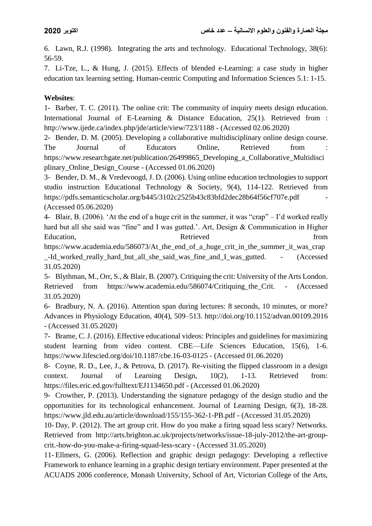6. Lawn, R.J. (1998). Integrating the arts and technology. Educational Technology, 38(6): 56-59.

7. Li-Tze, L., & Hung, J. (2015). Effects of blended e-Learning: a case study in higher education tax learning setting. Human-centric Computing and Information Sciences 5.1: 1-15.

## **Websites**:

1- Barber, T. C. (2011). The online crit: The community of inquiry meets design education. International Journal of E-Learning & Distance Education, 25(1). Retrieved from : http://www.ijede.ca/index.php/jde/article/view/723/1188 - (Accessed 02.06.2020)

2- Bender, D. M. (2005). Developing a collaborative multidisciplinary online design course. The Journal of Educators Online, Retrieved from : https://www.researchgate.net/publication/26499865 Developing a Collaborative Multidisci plinary Online Design Course - (Accessed 01.06.2020)

3- Bender, D. M., & Vredevoogd, J. D. (2006). Using online education technologies to support studio instruction Educational Technology & Society, 9(4), 114-122. Retrieved from https://pdfs.semanticscholar.org/b445/3102c2525b43c83bfd2dec28b64f56cf707e.pdf - (Accessed 05.06.2020)

4- Blair, B. (2006). 'At the end of a huge crit in the summer, it was "crap" – I'd worked really hard but all she said was "fine" and I was gutted.'. Art, Design & Communication in Higher Education, Retrieved from Retrieved

https://www.academia.edu/586073/At\_the\_end\_of\_a\_huge\_crit\_in\_the\_summer\_it\_was\_crap -Id worked really hard but all she said was fine and I was gutted. - (Accessed 31.05.2020)

5- Blythman, M., Orr, S., & Blair, B. (2007). Critiquing the crit: University of the Arts London. Retrieved from https://www.academia.edu/586074/Critiquing the Crit. - (Accessed 31.05.2020)

6- Bradbury, N. A. (2016). Attention span during lectures: 8 seconds, 10 minutes, or more? Advances in Physiology Education, 40(4), 509–513. http://doi.org/10.1152/advan.00109.2016 - (Accessed 31.05.2020)

7- Brame, C. J. (2016). Effective educational videos: Principles and guidelines for maximizing student learning from video content. CBE—Life Sciences Education, 15(6), 1-6. https://www.lifescied.org/doi/10.1187/cbe.16-03-0125 - (Accessed 01.06.2020)

8- Coyne, R. D., Lee, J., & Petrova, D. (2017). Re-visiting the flipped classroom in a design context. Journal of Learning Design, 10(2), 1-13. Retrieved from: https://files.eric.ed.gov/fulltext/EJ1134650.pdf - (Accessed 01.06.2020)

9- Crowther, P. (2013). Understanding the signature pedagogy of the design studio and the opportunities for its technological enhancement. Journal of Learning Design, 6(3), 18-28. https://www.jld.edu.au/article/download/155/155-362-1-PB.pdf - (Accessed 31.05.2020)

10- Day, P. (2012). The art group crit. How do you make a firing squad less scary? Networks. Retrieved from http://arts.brighton.ac.uk/projects/networks/issue-18-july-2012/the-art-groupcrit.-how-do-you-make-a-firing-squad-less-scary - (Accessed 31.05.2020)

11- Ellmers, G. (2006). Reflection and graphic design pedagogy: Developing a reflective Framework to enhance learning in a graphic design tertiary environment. Paper presented at the ACUADS 2006 conference, Monash University, School of Art, Victorian College of the Arts,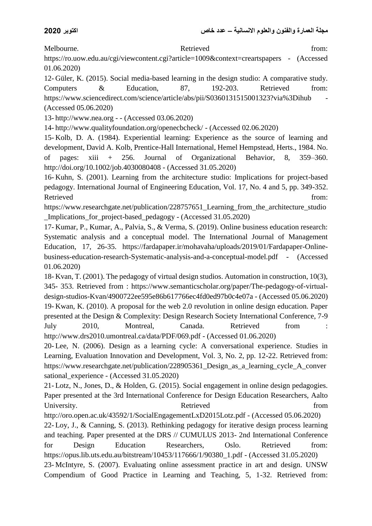Melbourne. Retrieved from: https://ro.uow.edu.au/cgi/viewcontent.cgi?article=1009&context=creartspapers - (Accessed 01.06.2020)

12- Güler, K. (2015). Social media-based learning in the design studio: A comparative study. Computers & Education, 87, 192-203. Retrieved from: https://www.sciencedirect.com/science/article/abs/pii/S0360131515001323?via%3Dihub - (Accessed 05.06.2020)

13- http://www.nea.org - - (Accessed 03.06.2020)

14- http://www.qualityfoundation.org/openecbcheck/ - (Accessed 02.06.2020)

15- Kolb, D. A. (1984). Experiential learning: Experience as the source of learning and development, David A. Kolb, Prentice-Hall International, Hemel Hempstead, Herts., 1984. No. of pages: xiii + 256. Journal of Organizational Behavior, 8, 359–360. http://doi.org/10.1002/job.4030080408 - (Accessed 31.05.2020)

16- Kuhn, S. (2001). Learning from the architecture studio: Implications for project-based pedagogy. International Journal of Engineering Education, Vol. 17, No. 4 and 5, pp. 349-352. Retrieved from:

https://www.researchgate.net/publication/228757651 Learning from the architecture studio Implications for project-based pedagogy - (Accessed 31.05.2020)

17- Kumar, P., Kumar, A., Palvia, S., & Verma, S. (2019). Online business education research: Systematic analysis and a conceptual model. The International Journal of Management Education, 17, 26-35. https://fardapaper.ir/mohavaha/uploads/2019/01/Fardapaper-Onlinebusiness-education-research-Systematic-analysis-and-a-conceptual-model.pdf - (Accessed 01.06.2020)

18- Kvan, T. (2001). The pedagogy of virtual design studios. Automation in construction, 10(3), 345- 353. Retrieved from : https://www.semanticscholar.org/paper/The-pedagogy-of-virtualdesign-studios-Kvan/4900722ee595e86b617766ec4fd0ed97b0c4e07a - (Accessed 05.06.2020) 19- Kwan, K. (2010). A proposal for the web 2.0 revolution in online design education. Paper presented at the Design & Complexity: Design Research Society International Conference, 7-9 July 2010, Montreal, Canada. Retrieved from : http://www.drs2010.umontreal.ca/data/PDF/069.pdf - (Accessed 01.06.2020)

20- Lee, N. (2006). Design as a learning cycle: A conversational experience. Studies in Learning, Evaluation Innovation and Development, Vol. 3, No. 2, pp. 12-22. Retrieved from: https://www.researchgate.net/publication/228905361 Design as a learning cycle A conver sational\_experience - (Accessed 31.05.2020)

21- Lotz, N., Jones, D., & Holden, G. (2015). Social engagement in online design pedagogies. Paper presented at the 3rd International Conference for Design Education Researchers, Aalto University. The extra section of the Retrieved from  $\mathbb{R}$  etrieved from  $\mathbb{R}$ 

http://oro.open.ac.uk/43592/1/SocialEngagementLxD2015Lotz.pdf - (Accessed 05.06.2020) 22- Loy, J., & Canning, S. (2013). Rethinking pedagogy for iterative design process learning and teaching. Paper presented at the DRS // CUMULUS 2013- 2nd International Conference for Design Education Researchers, Oslo. Retrieved from: https://opus.lib.uts.edu.au/bitstream/10453/117666/1/90380\_1.pdf - (Accessed 31.05.2020)

23- McIntyre, S. (2007). Evaluating online assessment practice in art and design. UNSW Compendium of Good Practice in Learning and Teaching, 5, 1-32. Retrieved from: